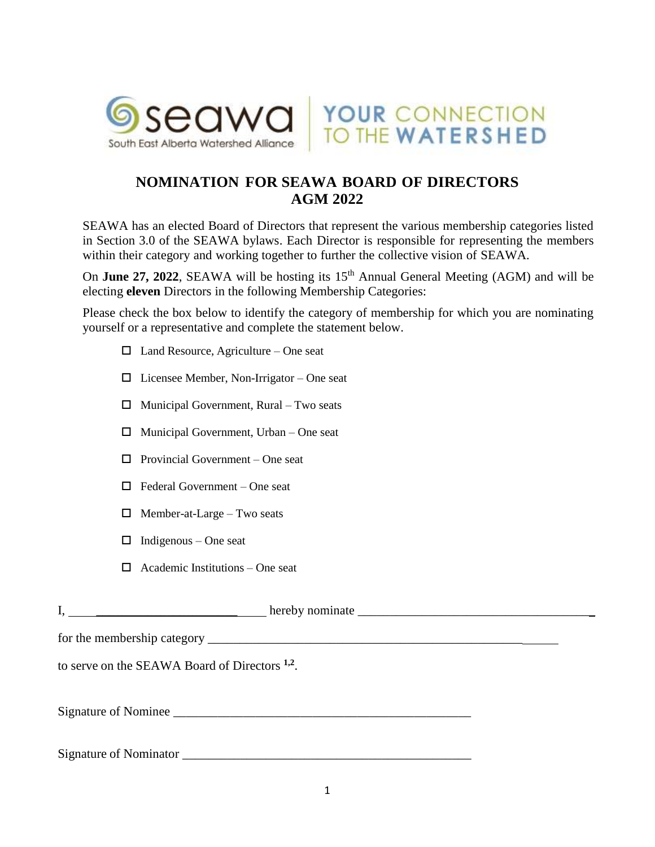

## **NOMINATION FOR SEAWA BOARD OF DIRECTORS AGM 2022**

YOUR CONNECTION<br>TO THE WATERSHED

SEAWA has an elected Board of Directors that represent the various membership categories listed in Section 3.0 of the SEAWA bylaws. Each Director is responsible for representing the members within their category and working together to further the collective vision of SEAWA.

On **June 27, 2022**, SEAWA will be hosting its 15<sup>th</sup> Annual General Meeting (AGM) and will be electing **eleven** Directors in the following Membership Categories:

Please check the box below to identify the category of membership for which you are nominating yourself or a representative and complete the statement below.

- $\Box$  Land Resource, Agriculture One seat
- $\Box$  Licensee Member, Non-Irrigator One seat
- $\Box$  Municipal Government, Rural Two seats
- $\Box$  Municipal Government, Urban One seat
- $\Box$  Provincial Government One seat
- $\Box$  Federal Government One seat
- $\Box$  Member-at-Large Two seats
- $\Box$  Indigenous One seat
- $\Box$  Academic Institutions One seat

| to serve on the SEAWA Board of Directors <sup>1,2</sup> . |  |
|-----------------------------------------------------------|--|
|                                                           |  |
| Signature of Nominator                                    |  |